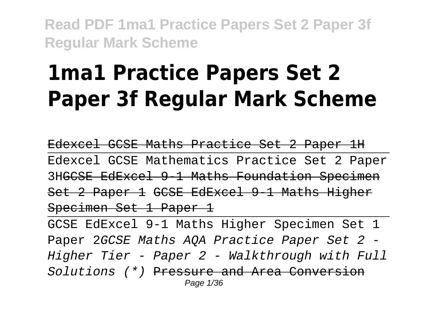# **1ma1 Practice Papers Set 2 Paper 3f Regular Mark Scheme**

Edexcel GCSE Maths Practice Set 2 Paper 1H Edexcel GCSE Mathematics Practice Set 2 Paper 3HGCSE EdExcel 9-1 Maths Foundation Specimen Set 2 Paper 1 GCSE EdExcel 9-1 Maths Higher Specimen Set 1 Paper 1

GCSE EdExcel 9-1 Maths Higher Specimen Set 1 Paper 2GCSE Maths AQA Practice Paper Set 2 -Higher Tier - Paper 2 - Walkthrough with Full Solutions (\*) Pressure and Area Conversion Page 1/36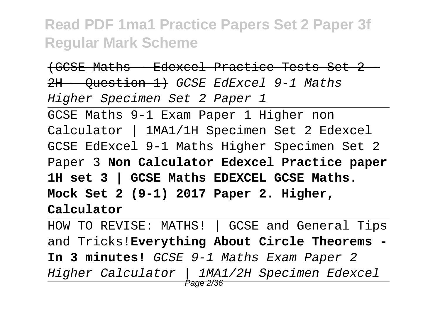(GCSE Maths - Edexcel Practice Tests Set 2 - 2H - Ouestion 1) GCSE EdExcel 9-1 Maths Higher Specimen Set 2 Paper 1

GCSE Maths 9-1 Exam Paper 1 Higher non Calculator | 1MA1/1H Specimen Set 2 Edexcel GCSE EdExcel 9-1 Maths Higher Specimen Set 2 Paper 3 **Non Calculator Edexcel Practice paper 1H set 3 | GCSE Maths EDEXCEL GCSE Maths. Mock Set 2 (9-1) 2017 Paper 2. Higher, Calculator**

HOW TO REVISE: MATHS! | GCSE and General Tips and Tricks!**Everything About Circle Theorems - In 3 minutes!** GCSE 9-1 Maths Exam Paper 2 Higher Calculator | 1MA1/2H Specimen Edexcel Page 2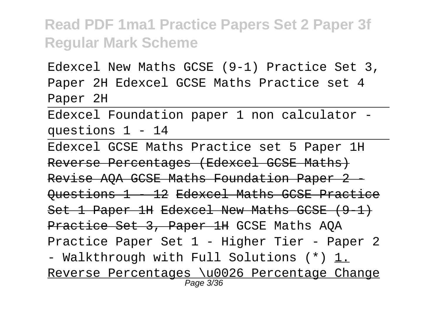Edexcel New Maths GCSE (9-1) Practice Set 3, Paper 2H Edexcel GCSE Maths Practice set 4 Paper 2H

Edexcel Foundation paper 1 non calculator questions 1 - 14

Edexcel GCSE Maths Practice set 5 Paper 1H Reverse Percentages (Edexcel GCSE Maths) Revise AQA GCSE Maths Foundation Paper 2 -Questions 1 - 12 Edexcel Maths GCSE Practice Set 1 Paper 1H Edexcel New Maths GCSE (9-1) Practice Set 3, Paper 1H GCSE Maths AQA Practice Paper Set 1 - Higher Tier - Paper 2 - Walkthrough with Full Solutions (\*) 1. Reverse Percentages \u0026 Percentage Change Page 3/36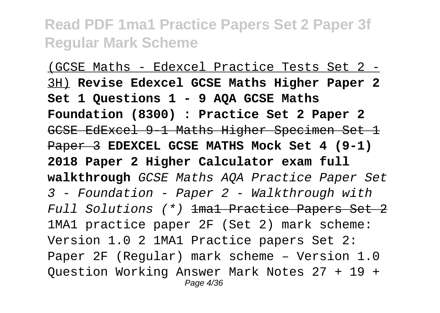(GCSE Maths - Edexcel Practice Tests Set 2 - 3H) **Revise Edexcel GCSE Maths Higher Paper 2 Set 1 Questions 1 - 9 AQA GCSE Maths Foundation (8300) : Practice Set 2 Paper 2** GCSE EdExcel 9-1 Maths Higher Specimen Set 1 Paper 3 **EDEXCEL GCSE MATHS Mock Set 4 (9-1) 2018 Paper 2 Higher Calculator exam full walkthrough** GCSE Maths AQA Practice Paper Set 3 - Foundation - Paper 2 - Walkthrough with Full Solutions (\*) 1ma1 Practice Papers Set 2 1MA1 practice paper 2F (Set 2) mark scheme: Version 1.0 2 1MA1 Practice papers Set 2: Paper 2F (Regular) mark scheme – Version 1.0 Question Working Answer Mark Notes 27 + 19 + Page 4/36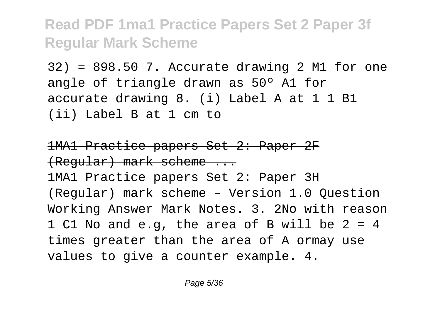32) = 898.50 7. Accurate drawing 2 M1 for one angle of triangle drawn as 50º A1 for accurate drawing 8. (i) Label A at 1 1 B1 (ii) Label B at 1 cm to

1MA1 Practice papers Set 2: Paper 2F (Regular) mark scheme ...

1MA1 Practice papers Set 2: Paper 3H (Regular) mark scheme – Version 1.0 Question Working Answer Mark Notes. 3. 2No with reason 1 C1 No and e.g, the area of B will be 2 = 4 times greater than the area of A ormay use values to give a counter example. 4.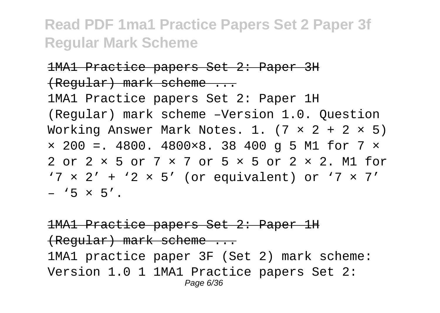#### 1MA1 Practice papers Set 2: Paper 3H (Regular) mark scheme ...

1MA1 Practice papers Set 2: Paper 1H (Regular) mark scheme –Version 1.0. Question Working Answer Mark Notes. 1.  $(7 \times 2 + 2 \times 5)$  $\times$  200 =. 4800. 4800 $\times$ 8. 38 400 q 5 M1 for 7  $\times$ 2 or 2 × 5 or 7 × 7 or 5 × 5 or 2 × 2. M1 for  $'7 \times 2' + '2 \times 5'$  (or equivalent) or  $'7 \times 7'$  $-$  '5  $\times$  5'.

#### 1MA1 Practice papers Set 2: Paper 1H (Regular) mark scheme ... 1MA1 practice paper 3F (Set 2) mark scheme: Version 1.0 1 1MA1 Practice papers Set 2: Page 6/36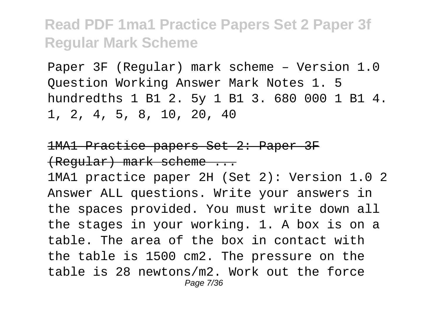Paper 3F (Regular) mark scheme – Version 1.0 Question Working Answer Mark Notes 1. 5 hundredths 1 B1 2. 5y 1 B1 3. 680 000 1 B1 4. 1, 2, 4, 5, 8, 10, 20, 40

#### 1MA1 Practice papers Set 2: Paper 3F (Regular) mark scheme ...

1MA1 practice paper 2H (Set 2): Version 1.0 2 Answer ALL questions. Write your answers in the spaces provided. You must write down all the stages in your working. 1. A box is on a table. The area of the box in contact with the table is 1500 cm2. The pressure on the table is 28 newtons/m2. Work out the force Page 7/36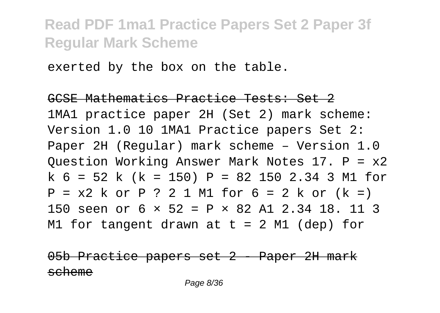exerted by the box on the table.

#### GCSE Mathematics Practice Tests: Set 2

1MA1 practice paper 2H (Set 2) mark scheme: Version 1.0 10 1MA1 Practice papers Set 2: Paper 2H (Regular) mark scheme – Version 1.0 Question Working Answer Mark Notes 17. P = x2 k 6 = 52 k (k = 150) P = 82 150 2.34 3 M1 for  $P = x2 k or P ? 2 1 M1 for 6 = 2 k or (k =)$ 150 seen or 6 × 52 = P × 82 A1 2.34 18. 11 3 M1 for tangent drawn at  $t = 2$  M1 (dep) for

Practice papers set 2 - Paper 2H mark scheme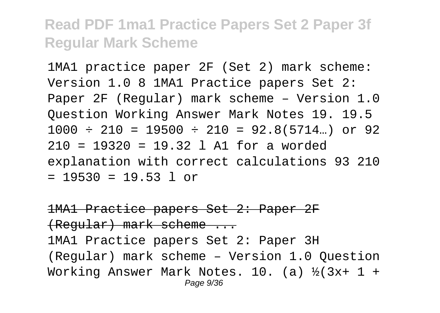1MA1 practice paper 2F (Set 2) mark scheme: Version 1.0 8 1MA1 Practice papers Set 2: Paper 2F (Regular) mark scheme – Version 1.0 Question Working Answer Mark Notes 19. 19.5  $1000 \div 210 = 19500 \div 210 = 92.8(5714...)$  or 92 210 = 19320 = 19.32 l A1 for a worded explanation with correct calculations 93 210  $= 19530 = 19.53$  l or

1MA1 Practice papers Set 2: Paper 2F (Regular) mark scheme ... 1MA1 Practice papers Set 2: Paper 3H (Regular) mark scheme – Version 1.0 Question Working Answer Mark Notes. 10. (a)  $\frac{1}{2}(3x+1 +$ Page 9/36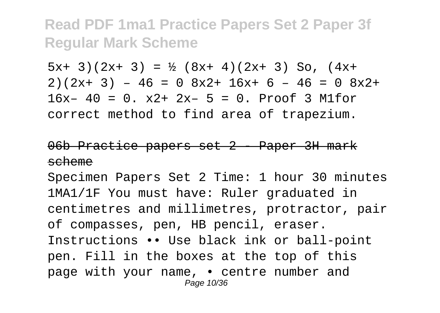$5x+ 3$   $(2x+ 3) = \frac{1}{2} (8x+ 4) (2x+ 3)$  So,  $(4x+$  $2)(2x+ 3) - 46 = 0 8x^2+ 16x+ 6 - 46 = 0 8x^2+$  $16x - 40 = 0$ .  $x2 + 2x - 5 = 0$ . Proof 3 M1for correct method to find area of trapezium.

#### 06b Practice papers set 2 - Paper 3H mark scheme

Specimen Papers Set 2 Time: 1 hour 30 minutes 1MA1/1F You must have: Ruler graduated in centimetres and millimetres, protractor, pair of compasses, pen, HB pencil, eraser. Instructions •• Use black ink or ball-point pen. Fill in the boxes at the top of this page with your name, • centre number and Page 10/36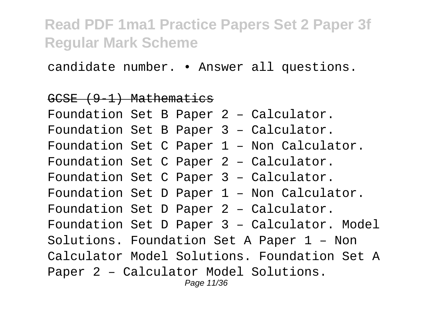candidate number. • Answer all questions.

#### GCSE (9-1) Mathematics

Foundation Set B Paper 2 – Calculator. Foundation Set B Paper 3 – Calculator. Foundation Set C Paper 1 – Non Calculator. Foundation Set C Paper 2 – Calculator. Foundation Set C Paper 3 – Calculator. Foundation Set D Paper 1 – Non Calculator. Foundation Set D Paper 2 – Calculator. Foundation Set D Paper 3 – Calculator. Model Solutions. Foundation Set A Paper 1 – Non Calculator Model Solutions. Foundation Set A Paper 2 – Calculator Model Solutions. Page 11/36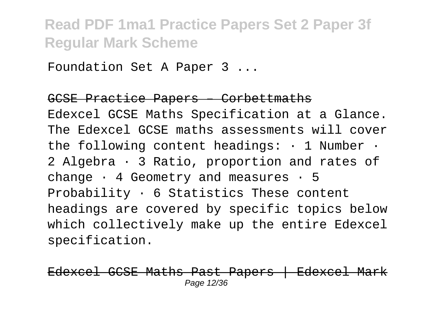Foundation Set A Paper 3 ...

#### GCSE Practice Papers – Corbettmaths

Edexcel GCSE Maths Specification at a Glance. The Edexcel GCSE maths assessments will cover the following content headings:  $\cdot$  1 Number  $\cdot$ 2 Algebra · 3 Ratio, proportion and rates of change  $\cdot$  4 Geometry and measures  $\cdot$  5 Probability  $\cdot$  6 Statistics These content headings are covered by specific topics below which collectively make up the entire Edexcel specification.

Edexcel GCSE Maths Past Papers | Edexcel Mark Page 12/36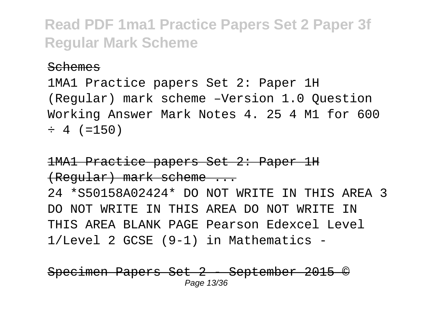#### Schemes

1MA1 Practice papers Set 2: Paper 1H (Regular) mark scheme –Version 1.0 Question Working Answer Mark Notes 4. 25 4 M1 for 600  $\div$  4 (=150)

#### 1MA1 Practice papers Set 2: Paper 1H (Regular) mark scheme ...

24 \*S50158A02424\* DO NOT WRITE IN THIS AREA 3 DO NOT WRITE IN THIS AREA DO NOT WRITE IN THIS AREA BLANK PAGE Pearson Edexcel Level 1/Level 2 GCSE (9-1) in Mathematics -

Papers Set 2 - September 2015 Page 13/36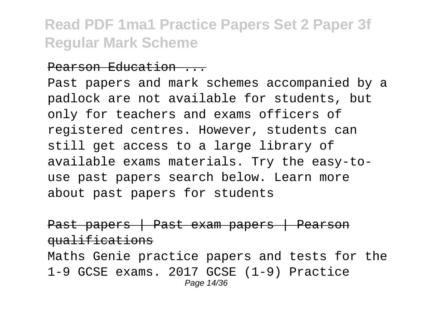#### Pearson Education ...

Past papers and mark schemes accompanied by a padlock are not available for students, but only for teachers and exams officers of registered centres. However, students can still get access to a large library of available exams materials. Try the easy-touse past papers search below. Learn more about past papers for students

Past papers | Past exam papers | Pearson qualifications

Maths Genie practice papers and tests for the 1-9 GCSE exams. 2017 GCSE (1-9) Practice Page 14/36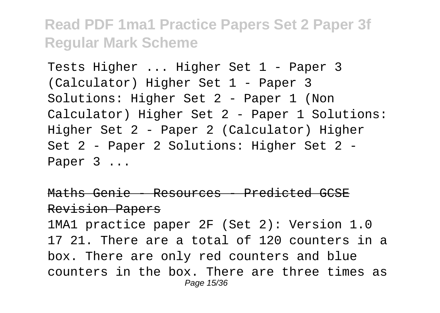Tests Higher ... Higher Set 1 - Paper 3 (Calculator) Higher Set 1 - Paper 3 Solutions: Higher Set 2 - Paper 1 (Non Calculator) Higher Set 2 - Paper 1 Solutions: Higher Set 2 - Paper 2 (Calculator) Higher Set 2 - Paper 2 Solutions: Higher Set 2 - Paper 3 ...

Maths Genie - Resources - Predicted GCSE Revision Papers 1MA1 practice paper 2F (Set 2): Version 1.0 17 21. There are a total of 120 counters in a box. There are only red counters and blue

counters in the box. There are three times as Page 15/36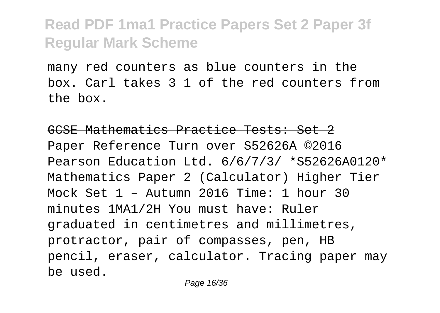many red counters as blue counters in the box. Carl takes 3 1 of the red counters from the box.

#### GCSE Mathematics Practice Tests: Set 2

Paper Reference Turn over S52626A ©2016 Pearson Education Ltd. 6/6/7/3/ \*S52626A0120\* Mathematics Paper 2 (Calculator) Higher Tier Mock Set 1 – Autumn 2016 Time: 1 hour 30 minutes 1MA1/2H You must have: Ruler graduated in centimetres and millimetres, protractor, pair of compasses, pen, HB pencil, eraser, calculator. Tracing paper may be used.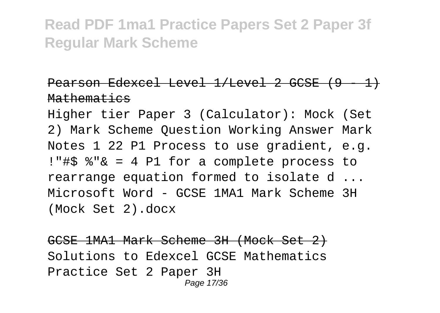#### Pearson Edexcel Level 1/Level 2 GCSE (9 - 1) Mathematics

Higher tier Paper 3 (Calculator): Mock (Set 2) Mark Scheme Question Working Answer Mark Notes 1 22 P1 Process to use gradient, e.g. !"#\$ %"& = 4 P1 for a complete process to rearrange equation formed to isolate d ... Microsoft Word - GCSE 1MA1 Mark Scheme 3H (Mock Set 2).docx

GCSE 1MA1 Mark Scheme 3H (Mock Set 2) Solutions to Edexcel GCSE Mathematics Practice Set 2 Paper 3H Page 17/36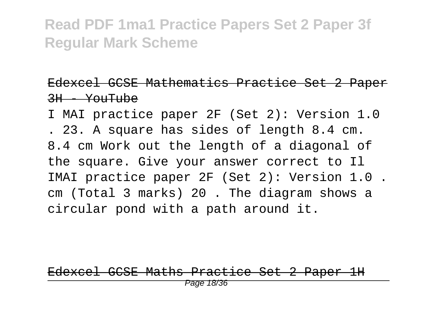#### Edexcel GCSE Mathematics Practice Set 2 Paper  $3H - Y$  $O<sub>H</sub>$ Tube

I MAI practice paper 2F (Set 2): Version 1.0 . 23. A square has sides of length 8.4 cm. 8.4 cm Work out the length of a diagonal of the square. Give your answer correct to Il IMAI practice paper 2F (Set 2): Version 1.0 . cm (Total 3 marks) 20 . The diagram shows a circular pond with a path around it.

Edexcel GCSE Maths Practice Set 2 Paper 1H Page 18/36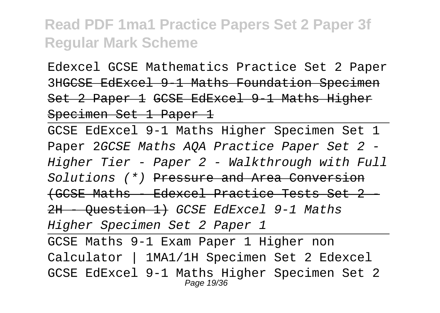Edexcel GCSE Mathematics Practice Set 2 Paper 3HGCSE EdExcel 9-1 Maths Foundation Specimen Set 2 Paper 1 GCSE EdExcel 9-1 Maths Higher Specimen Set 1 Paper 1

GCSE EdExcel 9-1 Maths Higher Specimen Set 1 Paper 2GCSE Maths AOA Practice Paper Set 2 -Higher Tier - Paper 2 - Walkthrough with Full Solutions (\*) Pressure and Area Conversion (GCSE Maths - Edexcel Practice Tests Set 2 - 2H Ouestion 1) GCSE EdExcel 9-1 Maths Higher Specimen Set 2 Paper 1 GCSE Maths 9-1 Exam Paper 1 Higher non Calculator | 1MA1/1H Specimen Set 2 Edexcel GCSE EdExcel 9-1 Maths Higher Specimen Set 2 Page 19/36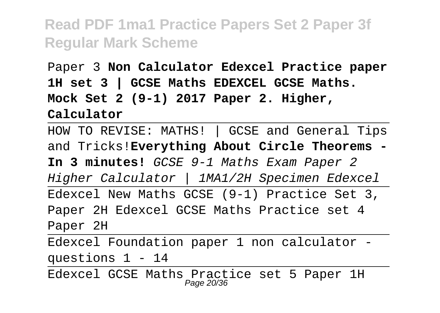Paper 3 **Non Calculator Edexcel Practice paper 1H set 3 | GCSE Maths EDEXCEL GCSE Maths. Mock Set 2 (9-1) 2017 Paper 2. Higher, Calculator**

HOW TO REVISE: MATHS! | GCSE and General Tips and Tricks!**Everything About Circle Theorems - In 3 minutes!** GCSE 9-1 Maths Exam Paper 2 Higher Calculator | 1MA1/2H Specimen Edexcel Edexcel New Maths GCSE (9-1) Practice Set 3, Paper 2H Edexcel GCSE Maths Practice set 4 Paper 2H Edexcel Foundation paper 1 non calculator -

questions 1 - 14

Edexcel GCSE Maths Practice set 5 Paper 1H Page 20/36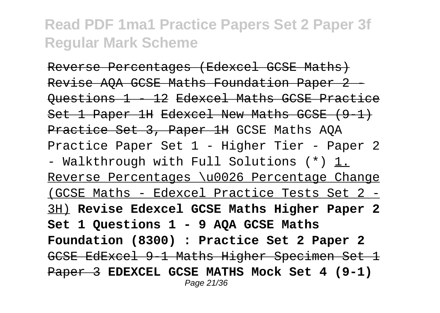Reverse Percentages (Edexcel GCSE Maths) Revise AOA GCSE Maths Foundation Paper 2 -Questions 1 - 12 Edexcel Maths GCSE Practice Set 1 Paper 1H Edexcel New Maths GCSE (9-1) Practice Set 3, Paper 1H GCSE Maths AOA Practice Paper Set 1 - Higher Tier - Paper 2 - Walkthrough with Full Solutions (\*) 1. Reverse Percentages \u0026 Percentage Change (GCSE Maths - Edexcel Practice Tests Set 2 - 3H) **Revise Edexcel GCSE Maths Higher Paper 2 Set 1 Questions 1 - 9 AQA GCSE Maths Foundation (8300) : Practice Set 2 Paper 2** GCSE EdExcel 9-1 Maths Higher Specimen Set 1 Paper 3 **EDEXCEL GCSE MATHS Mock Set 4 (9-1)** Page 21/36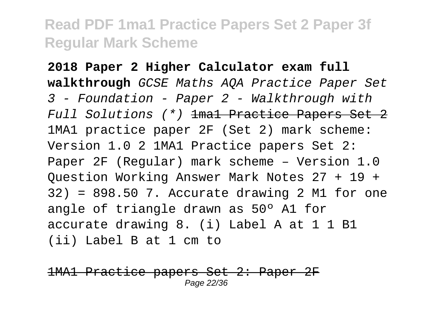**2018 Paper 2 Higher Calculator exam full walkthrough** GCSE Maths AQA Practice Paper Set 3 - Foundation - Paper 2 - Walkthrough with Full Solutions (\*) 1ma1 Practice Papers Set 2 1MA1 practice paper 2F (Set 2) mark scheme: Version 1.0 2 1MA1 Practice papers Set 2: Paper 2F (Regular) mark scheme – Version 1.0 Question Working Answer Mark Notes 27 + 19 + 32) = 898.50 7. Accurate drawing 2 M1 for one angle of triangle drawn as 50º A1 for accurate drawing 8. (i) Label A at 1 1 B1 (ii) Label B at 1 cm to

Practice papers Set 2: Paper 2F Page 22/36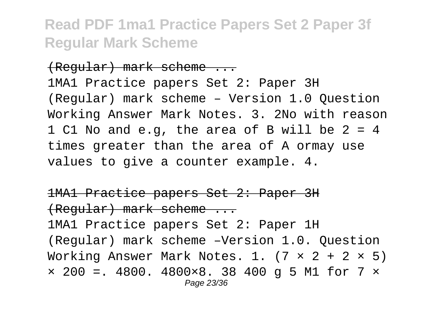#### (Regular) mark scheme ...

1MA1 Practice papers Set 2: Paper 3H (Regular) mark scheme – Version 1.0 Question Working Answer Mark Notes. 3. 2No with reason 1 C1 No and e.g, the area of B will be 2 = 4 times greater than the area of A ormay use values to give a counter example. 4.

1MA1 Practice papers Set 2: Paper 3H (Regular) mark scheme ... 1MA1 Practice papers Set 2: Paper 1H (Regular) mark scheme –Version 1.0. Question Working Answer Mark Notes. 1.  $(7 \times 2 + 2 \times 5)$  $\times$  200 =. 4800. 4800 $\times$ 8. 38 400 q 5 M1 for 7  $\times$ Page 23/36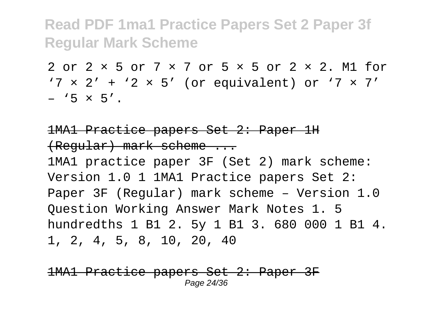2 or 2 × 5 or 7 × 7 or 5 × 5 or 2 × 2. M1 for  $'7 \times 2' + '2 \times 5'$  (or equivalent) or  $'7 \times 7'$  $-$  '5  $\times$  5'.

#### 1MA1 Practice papers Set 2: Paper 1H (Regular) mark scheme ...

1MA1 practice paper 3F (Set 2) mark scheme: Version 1.0 1 1MA1 Practice papers Set 2: Paper 3F (Regular) mark scheme – Version 1.0 Question Working Answer Mark Notes 1. 5 hundredths 1 B1 2. 5y 1 B1 3. 680 000 1 B1 4. 1, 2, 4, 5, 8, 10, 20, 40

Practice papers Set 2: Paper 3F Page 24/36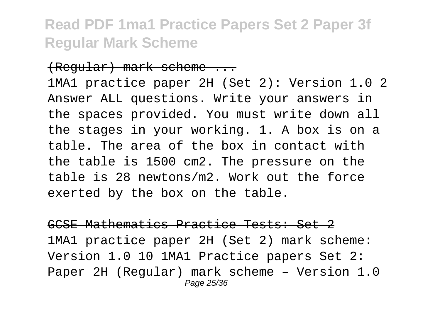#### (Regular) mark scheme ...

1MA1 practice paper 2H (Set 2): Version 1.0 2 Answer ALL questions. Write your answers in the spaces provided. You must write down all the stages in your working. 1. A box is on a table. The area of the box in contact with the table is 1500 cm2. The pressure on the table is 28 newtons/m2. Work out the force exerted by the box on the table.

GCSE Mathematics Practice Tests: Set 2 1MA1 practice paper 2H (Set 2) mark scheme: Version 1.0 10 1MA1 Practice papers Set 2: Paper 2H (Regular) mark scheme – Version 1.0 Page 25/36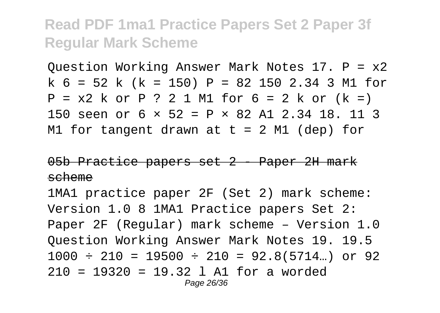Question Working Answer Mark Notes 17. P = x2 k 6 = 52 k (k = 150) P = 82 150 2.34 3 M1 for  $P = x2$  k or P ? 2 1 M1 for  $6 = 2$  k or  $(k =)$ 150 seen or 6 × 52 = P × 82 A1 2.34 18. 11 3 M1 for tangent drawn at  $t = 2$  M1 (dep) for

#### 05b Practice papers set 2 - Paper 2H mark scheme

1MA1 practice paper 2F (Set 2) mark scheme: Version 1.0 8 1MA1 Practice papers Set 2: Paper 2F (Regular) mark scheme – Version 1.0 Question Working Answer Mark Notes 19. 19.5  $1000 \div 210 = 19500 \div 210 = 92.8(5714...)$  or 92 210 = 19320 = 19.32 l A1 for a worded Page 26/36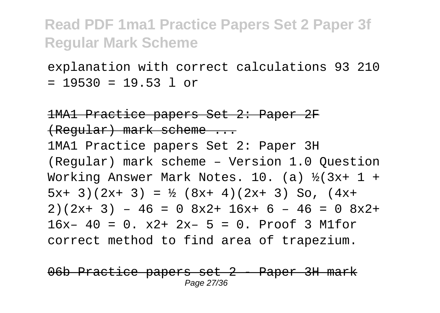explanation with correct calculations 93 210  $= 19530 = 19.53$  l or

1MA1 Practice papers Set 2: Paper 2F (Regular) mark scheme ... 1MA1 Practice papers Set 2: Paper 3H (Regular) mark scheme – Version 1.0 Question Working Answer Mark Notes. 10. (a)  $\frac{1}{2}(3x+1 +$  $5x+ 3$  (2x+ 3) = ½ (8x+ 4)(2x+ 3) So, (4x+  $2)(2x+3) - 46 = 0$   $8x^2+ 16x+ 6 - 46 = 0$   $8x^2+$  $16x - 40 = 0$ .  $x2 + 2x - 5 = 0$ . Proof 3 M1for correct method to find area of trapezium.

Practice papers set 2 - Paper 3H mark Page 27/36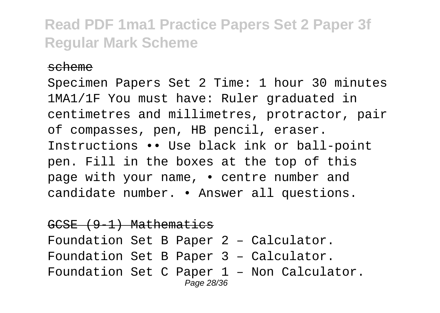#### scheme

Specimen Papers Set 2 Time: 1 hour 30 minutes 1MA1/1F You must have: Ruler graduated in centimetres and millimetres, protractor, pair of compasses, pen, HB pencil, eraser. Instructions •• Use black ink or ball-point pen. Fill in the boxes at the top of this page with your name, • centre number and candidate number. • Answer all questions.

GCSE (9-1) Mathematics Foundation Set B Paper 2 – Calculator. Foundation Set B Paper 3 – Calculator. Foundation Set C Paper 1 – Non Calculator. Page 28/36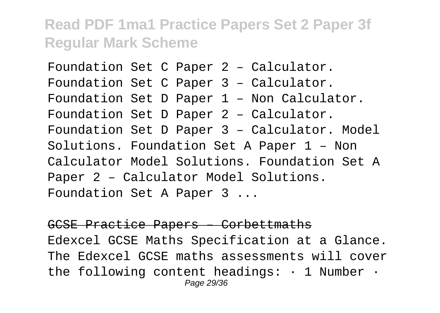Foundation Set C Paper 2 – Calculator. Foundation Set C Paper 3 – Calculator. Foundation Set D Paper 1 – Non Calculator. Foundation Set D Paper 2 – Calculator. Foundation Set D Paper 3 – Calculator. Model Solutions. Foundation Set A Paper 1 – Non Calculator Model Solutions. Foundation Set A Paper 2 – Calculator Model Solutions. Foundation Set A Paper 3 ...

#### GCSE Practice Papers – Corbettmaths Edexcel GCSE Maths Specification at a Glance. The Edexcel GCSE maths assessments will cover the following content headings: · 1 Number · Page 29/36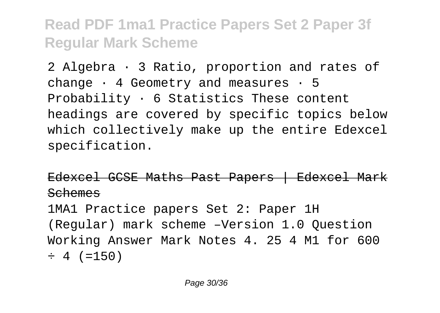2 Algebra · 3 Ratio, proportion and rates of change  $\cdot$  4 Geometry and measures  $\cdot$  5 Probability  $\cdot$  6 Statistics These content headings are covered by specific topics below which collectively make up the entire Edexcel specification.

Edexcel GCSE Maths Past Papers | Edexcel Mark Schemes

1MA1 Practice papers Set 2: Paper 1H (Regular) mark scheme –Version 1.0 Question Working Answer Mark Notes 4. 25 4 M1 for 600  $\div$  4 (=150)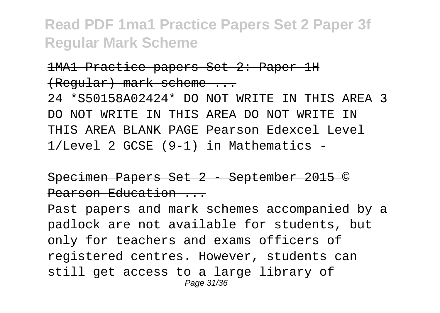#### 1MA1 Practice papers Set 2: Paper 1H (Regular) mark scheme ...

24 \*S50158A02424\* DO NOT WRITE IN THIS AREA 3 DO NOT WRITE IN THIS AREA DO NOT WRITE IN THIS AREA BLANK PAGE Pearson Edexcel Level 1/Level 2 GCSE (9-1) in Mathematics -

#### Specimen Papers Set 2 - September 2015 © Pearson Education ...

Past papers and mark schemes accompanied by a padlock are not available for students, but only for teachers and exams officers of registered centres. However, students can still get access to a large library of Page 31/36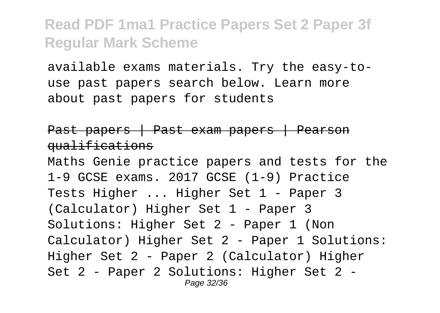available exams materials. Try the easy-touse past papers search below. Learn more about past papers for students

#### Past papers | Past exam papers | Pearson qualifications

Maths Genie practice papers and tests for the 1-9 GCSE exams. 2017 GCSE (1-9) Practice Tests Higher ... Higher Set 1 - Paper 3 (Calculator) Higher Set 1 - Paper 3 Solutions: Higher Set 2 - Paper 1 (Non Calculator) Higher Set 2 - Paper 1 Solutions: Higher Set 2 - Paper 2 (Calculator) Higher Set 2 - Paper 2 Solutions: Higher Set 2 - Page 32/36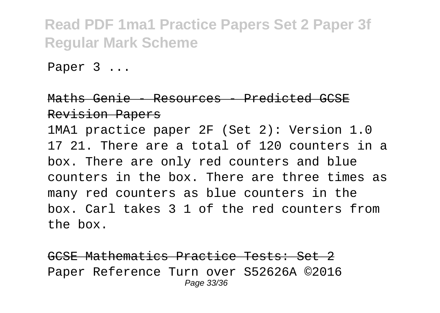Paper 3 ...

#### Maths Genie - Resources - Predicted GCSE Revision Papers 1MA1 practice paper 2F (Set 2): Version 1.0 17 21. There are a total of 120 counters in a box. There are only red counters and blue counters in the box. There are three times as many red counters as blue counters in the box. Carl takes 3 1 of the red counters from

the box.

GCSE Mathematics Practice Tests: Set 2 Paper Reference Turn over S52626A ©2016 Page 33/36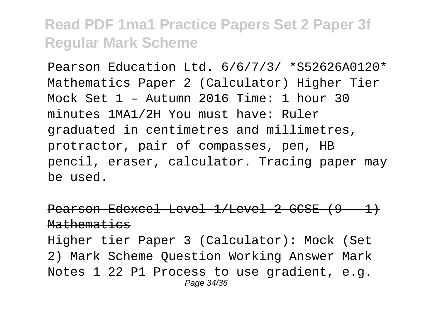Pearson Education Ltd. 6/6/7/3/ \*S52626A0120\* Mathematics Paper 2 (Calculator) Higher Tier Mock Set 1 – Autumn 2016 Time: 1 hour 30 minutes 1MA1/2H You must have: Ruler graduated in centimetres and millimetres, protractor, pair of compasses, pen, HB pencil, eraser, calculator. Tracing paper may be used.

Pearson Edexcel Level 1/Level 2 GCSE (9 - 1) Mathematics Higher tier Paper 3 (Calculator): Mock (Set 2) Mark Scheme Question Working Answer Mark Notes 1 22 P1 Process to use gradient, e.g. Page 34/36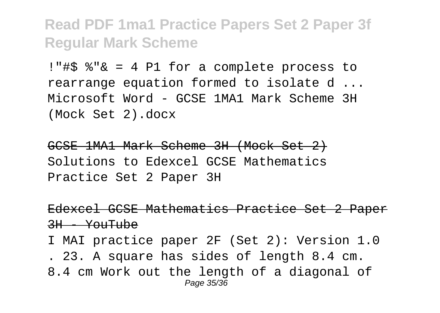!"#\$ %"& = 4 P1 for a complete process to rearrange equation formed to isolate d ... Microsoft Word - GCSE 1MA1 Mark Scheme 3H (Mock Set 2).docx

GCSE 1MA1 Mark Scheme 3H (Mock Set 2) Solutions to Edexcel GCSE Mathematics Practice Set 2 Paper 3H

Edexcel GCSE Mathematics Practice Set 2 Paper  $3H - Y$  $\omega$ Tube

I MAI practice paper 2F (Set 2): Version 1.0 . 23. A square has sides of length 8.4 cm. 8.4 cm Work out the length of a diagonal of Page 35/36